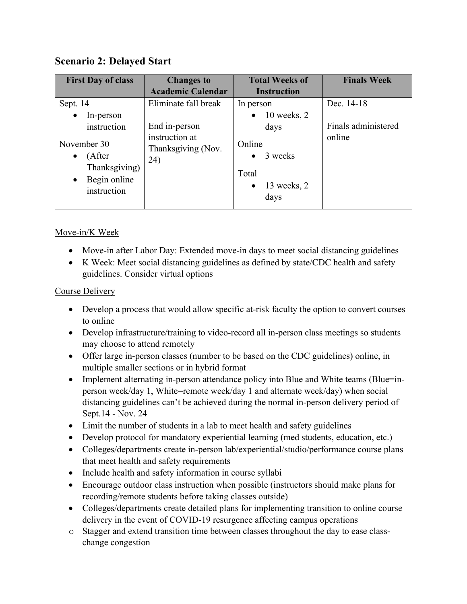# **Scenario 2: Delayed Start**

| <b>First Day of class</b>                                                                       | <b>Changes to</b>                           | <b>Total Weeks of</b>                                                       | <b>Finals Week</b>  |
|-------------------------------------------------------------------------------------------------|---------------------------------------------|-----------------------------------------------------------------------------|---------------------|
|                                                                                                 | <b>Academic Calendar</b>                    | <b>Instruction</b>                                                          |                     |
| Sept. 14                                                                                        | Eliminate fall break                        | In person                                                                   | Dec. 14-18          |
| In-person<br>$\bullet$                                                                          |                                             | $10$ weeks, $2$<br>$\bullet$                                                |                     |
| instruction                                                                                     | End in-person                               | days                                                                        | Finals administered |
| November 30<br>(After<br>$\bullet$<br>Thanksgiving)<br>Begin online<br>$\bullet$<br>instruction | instruction at<br>Thanksgiving (Nov.<br>24) | Online<br>3 weeks<br>$\bullet$<br>Total<br>13 weeks, 2<br>$\bullet$<br>days | online              |

# Move-in/K Week

- Move-in after Labor Day: Extended move-in days to meet social distancing guidelines
- K Week: Meet social distancing guidelines as defined by state/CDC health and safety guidelines. Consider virtual options

# Course Delivery

- Develop a process that would allow specific at-risk faculty the option to convert courses to online
- Develop infrastructure/training to video-record all in-person class meetings so students may choose to attend remotely
- Offer large in-person classes (number to be based on the CDC guidelines) online, in multiple smaller sections or in hybrid format
- Implement alternating in-person attendance policy into Blue and White teams (Blue=inperson week/day 1, White=remote week/day 1 and alternate week/day) when social distancing guidelines can't be achieved during the normal in-person delivery period of Sept.14 - Nov. 24
- Limit the number of students in a lab to meet health and safety guidelines
- Develop protocol for mandatory experiential learning (med students, education, etc.)
- Colleges/departments create in-person lab/experiential/studio/performance course plans that meet health and safety requirements
- Include health and safety information in course syllabi
- Encourage outdoor class instruction when possible (instructors should make plans for recording/remote students before taking classes outside)
- Colleges/departments create detailed plans for implementing transition to online course delivery in the event of COVID-19 resurgence affecting campus operations
- o Stagger and extend transition time between classes throughout the day to ease classchange congestion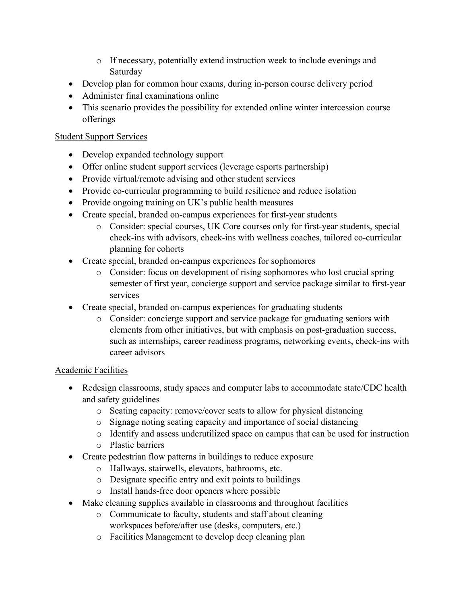- o If necessary, potentially extend instruction week to include evenings and Saturday
- Develop plan for common hour exams, during in-person course delivery period
- Administer final examinations online
- This scenario provides the possibility for extended online winter intercession course offerings

# Student Support Services

- Develop expanded technology support
- Offer online student support services (leverage esports partnership)
- Provide virtual/remote advising and other student services
- Provide co-curricular programming to build resilience and reduce isolation
- Provide ongoing training on UK's public health measures
- Create special, branded on-campus experiences for first-year students
	- o Consider: special courses, UK Core courses only for first-year students, special check-ins with advisors, check-ins with wellness coaches, tailored co-curricular planning for cohorts
- Create special, branded on-campus experiences for sophomores
	- o Consider: focus on development of rising sophomores who lost crucial spring semester of first year, concierge support and service package similar to first-year services
- Create special, branded on-campus experiences for graduating students
	- o Consider: concierge support and service package for graduating seniors with elements from other initiatives, but with emphasis on post-graduation success, such as internships, career readiness programs, networking events, check-ins with career advisors

## Academic Facilities

- Redesign classrooms, study spaces and computer labs to accommodate state/CDC health and safety guidelines
	- o Seating capacity: remove/cover seats to allow for physical distancing
	- o Signage noting seating capacity and importance of social distancing
	- o Identify and assess underutilized space on campus that can be used for instruction
	- o Plastic barriers
- Create pedestrian flow patterns in buildings to reduce exposure
	- o Hallways, stairwells, elevators, bathrooms, etc.
	- o Designate specific entry and exit points to buildings
	- o Install hands-free door openers where possible
- Make cleaning supplies available in classrooms and throughout facilities
	- o Communicate to faculty, students and staff about cleaning workspaces before/after use (desks, computers, etc.)
	- o Facilities Management to develop deep cleaning plan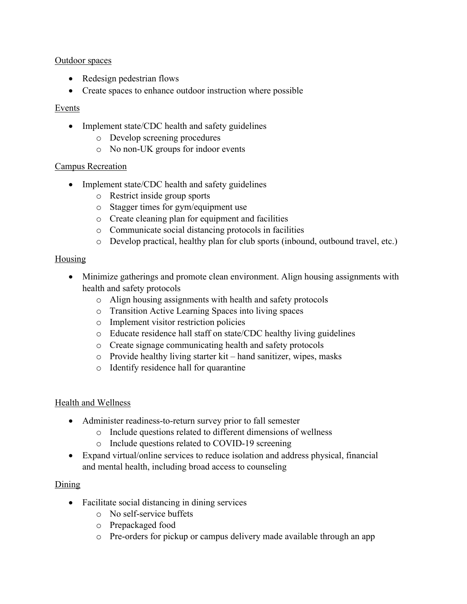#### Outdoor spaces

- Redesign pedestrian flows
- Create spaces to enhance outdoor instruction where possible

# Events

- Implement state/CDC health and safety guidelines
	- o Develop screening procedures
	- o No non-UK groups for indoor events

## Campus Recreation

- Implement state/CDC health and safety guidelines
	- o Restrict inside group sports
	- o Stagger times for gym/equipment use
	- o Create cleaning plan for equipment and facilities
	- o Communicate social distancing protocols in facilities
	- o Develop practical, healthy plan for club sports (inbound, outbound travel, etc.)

# Housing

- Minimize gatherings and promote clean environment. Align housing assignments with health and safety protocols
	- o Align housing assignments with health and safety protocols
	- o Transition Active Learning Spaces into living spaces
	- o Implement visitor restriction policies
	- o Educate residence hall staff on state/CDC healthy living guidelines
	- o Create signage communicating health and safety protocols
	- o Provide healthy living starter kit hand sanitizer, wipes, masks
	- o Identify residence hall for quarantine

## Health and Wellness

- Administer readiness-to-return survey prior to fall semester
	- o Include questions related to different dimensions of wellness
	- o Include questions related to COVID-19 screening
- Expand virtual/online services to reduce isolation and address physical, financial and mental health, including broad access to counseling

# Dining

- Facilitate social distancing in dining services
	- o No self-service buffets
	- o Prepackaged food
	- o Pre-orders for pickup or campus delivery made available through an app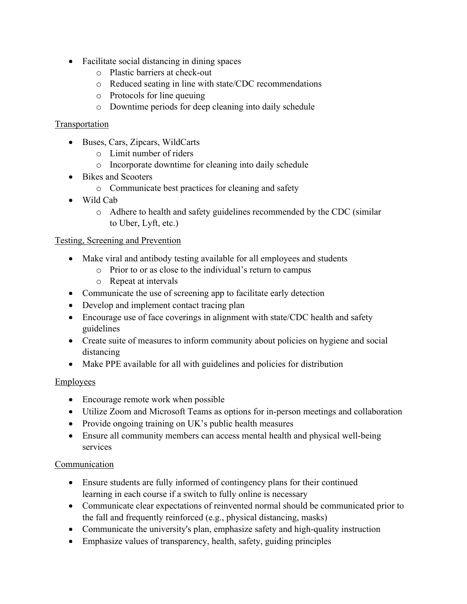- Facilitate social distancing in dining spaces
	- o Plastic barriers at check-out
	- o Reduced seating in line with state/CDC recommendations
	- o Protocols for line queuing
	- o Downtime periods for deep cleaning into daily schedule

## Transportation

- Buses, Cars, Zipcars, WildCarts
	- o Limit number of riders
	- o Incorporate downtime for cleaning into daily schedule
- Bikes and Scooters
	- o Communicate best practices for cleaning and safety
- Wild Cab
	- o Adhere to health and safety guidelines recommended by the CDC (similar to Uber, Lyft, etc.)

#### Testing, Screening and Prevention

- Make viral and antibody testing available for all employees and students
	- o Prior to or as close to the individual's return to campus
	- o Repeat at intervals
- Communicate the use of screening app to facilitate early detection
- Develop and implement contact tracing plan
- Encourage use of face coverings in alignment with state/CDC health and safety guidelines
- Create suite of measures to inform community about policies on hygiene and social distancing
- Make PPE available for all with guidelines and policies for distribution

## **Employees**

- Encourage remote work when possible
- Utilize Zoom and Microsoft Teams as options for in-person meetings and collaboration
- Provide ongoing training on UK's public health measures
- Ensure all community members can access mental health and physical well-being services

## **Communication**

- Ensure students are fully informed of contingency plans for their continued learning in each course if a switch to fully online is necessary
- Communicate clear expectations of reinvented normal should be communicated prior to the fall and frequently reinforced (e.g., physical distancing, masks)
- Communicate the university's plan, emphasize safety and high-quality instruction
- Emphasize values of transparency, health, safety, guiding principles